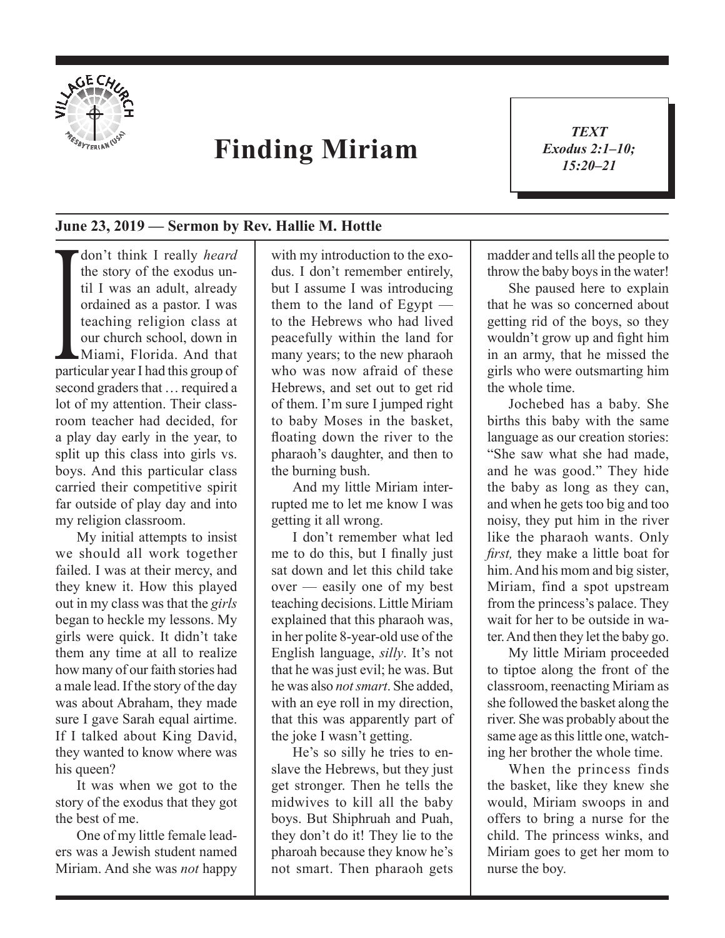

## **Finding Miriam**

*TEXT Exodus 2:1–10; 15:20–21*

1

## **June 23, 2019 — Sermon by Rev. Hallie M. Hottle**

ordained as a pastor. I was<br>teaching religion class at<br>our church school, down in<br>Miami, Florida. And that<br>particular year I had this group of don't think I really *heard* the story of the exodus until I was an adult, already ordained as a pastor. I was teaching religion class at our church school, down in Miami, Florida. And that second graders that … required a lot of my attention. Their classroom teacher had decided, for a play day early in the year, to split up this class into girls vs. boys. And this particular class carried their competitive spirit far outside of play day and into my religion classroom.

My initial attempts to insist we should all work together failed. I was at their mercy, and they knew it. How this played out in my class was that the *girls* began to heckle my lessons. My girls were quick. It didn't take them any time at all to realize how many of our faith stories had a male lead. If the story of the day was about Abraham, they made sure I gave Sarah equal airtime. If I talked about King David, they wanted to know where was his queen?

It was when we got to the story of the exodus that they got the best of me.

One of my little female leaders was a Jewish student named Miriam. And she was *not* happy with my introduction to the exodus. I don't remember entirely, but I assume I was introducing them to the land of Egypt to the Hebrews who had lived peacefully within the land for many years; to the new pharaoh who was now afraid of these Hebrews, and set out to get rid of them. I'm sure I jumped right to baby Moses in the basket, floating down the river to the pharaoh's daughter, and then to the burning bush.

And my little Miriam interrupted me to let me know I was getting it all wrong.

I don't remember what led me to do this, but I finally just sat down and let this child take over — easily one of my best teaching decisions. Little Miriam explained that this pharaoh was, in her polite 8-year-old use of the English language, *silly*. It's not that he was just evil; he was. But he was also *not smart*. She added, with an eye roll in my direction, that this was apparently part of the joke I wasn't getting.

He's so silly he tries to enslave the Hebrews, but they just get stronger. Then he tells the midwives to kill all the baby boys. But Shiphruah and Puah, they don't do it! They lie to the pharoah because they know he's not smart. Then pharaoh gets madder and tells all the people to throw the baby boys in the water!

She paused here to explain that he was so concerned about getting rid of the boys, so they wouldn't grow up and fight him in an army, that he missed the girls who were outsmarting him the whole time.

Jochebed has a baby. She births this baby with the same language as our creation stories: "She saw what she had made, and he was good." They hide the baby as long as they can, and when he gets too big and too noisy, they put him in the river like the pharaoh wants. Only *first,* they make a little boat for him. And his mom and big sister, Miriam, find a spot upstream from the princess's palace. They wait for her to be outside in water. And then they let the baby go.

My little Miriam proceeded to tiptoe along the front of the classroom, reenacting Miriam as she followed the basket along the river. She was probably about the same age as this little one, watching her brother the whole time.

When the princess finds the basket, like they knew she would, Miriam swoops in and offers to bring a nurse for the child. The princess winks, and Miriam goes to get her mom to nurse the boy.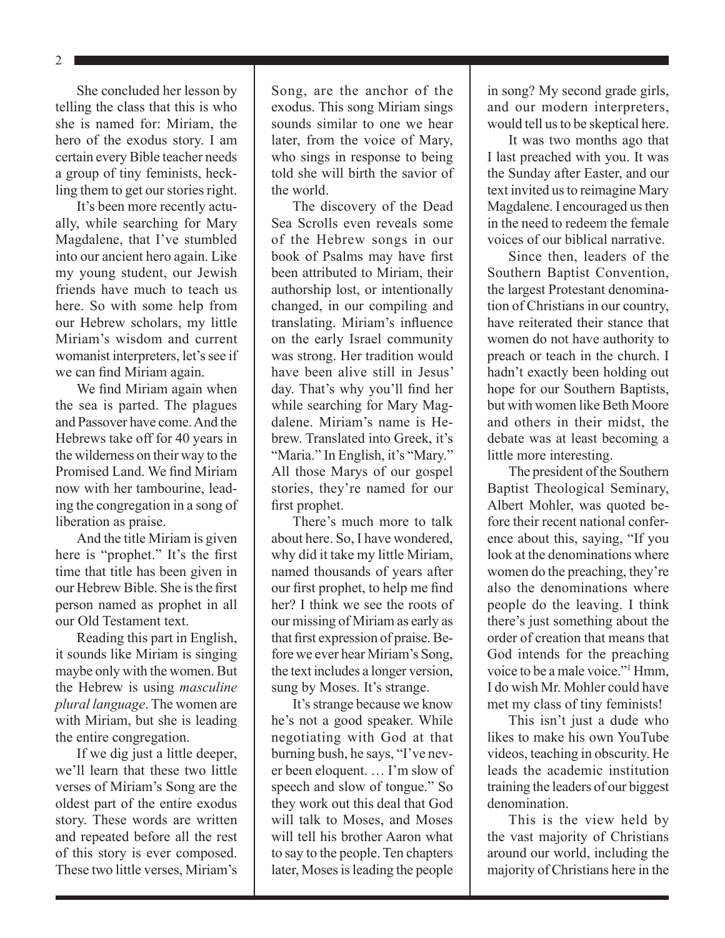2

She concluded her lesson by telling the class that this is who she is named for: Miriam, the hero of the exodus story. I am certain every Bible teacher needs a group of tiny feminists, heckling them to get our stories right.

It's been more recently actually, while searching for Mary Magdalene, that I've stumbled into our ancient hero again. Like my young student, our Jewish friends have much to teach us here. So with some help from our Hebrew scholars, my little Miriam's wisdom and current womanist interpreters, let's see if we can find Miriam again.

We find Miriam again when the sea is parted. The plagues and Passover have come. And the Hebrews take off for 40 years in the wilderness on their way to the Promised Land. We find Miriam now with her tambourine, leading the congregation in a song of liberation as praise.

And the title Miriam is given here is "prophet." It's the first time that title has been given in our Hebrew Bible. She is the first person named as prophet in all our Old Testament text.

Reading this part in English, it sounds like Miriam is singing maybe only with the women. But the Hebrew is using *masculine plural language*. The women are with Miriam, but she is leading the entire congregation.

If we dig just a little deeper, we'll learn that these two little verses of Miriam's Song are the oldest part of the entire exodus story. These words are written and repeated before all the rest of this story is ever composed. These two little verses, Miriam's

Song, are the anchor of the exodus. This song Miriam sings sounds similar to one we hear later, from the voice of Mary, who sings in response to being told she will birth the savior of the world.

The discovery of the Dead Sea Scrolls even reveals some of the Hebrew songs in our book of Psalms may have first been attributed to Miriam, their authorship lost, or intentionally changed, in our compiling and translating. Miriam's influence on the early Israel community was strong. Her tradition would have been alive still in Jesus' day. That's why you'll find her while searching for Mary Magdalene. Miriam's name is Hebrew. Translated into Greek, it's "Maria." In English, it's "Mary." All those Marys of our gospel stories, they're named for our first prophet.

There's much more to talk about here. So, I have wondered, why did it take my little Miriam, named thousands of years after our first prophet, to help me find her? I think we see the roots of our missing of Miriam as early as that first expression of praise. Before we ever hear Miriam's Song, the text includes a longer version, sung by Moses. It's strange.

It's strange because we know he's not a good speaker. While negotiating with God at that burning bush, he says, "I've never been eloquent. … I'm slow of speech and slow of tongue." So they work out this deal that God will talk to Moses, and Moses will tell his brother Aaron what to say to the people. Ten chapters later, Moses is leading the people in song? My second grade girls, and our modern interpreters, would tell us to be skeptical here.

It was two months ago that I last preached with you. It was the Sunday after Easter, and our text invited us to reimagine Mary Magdalene. I encouraged us then in the need to redeem the female voices of our biblical narrative.

Since then, leaders of the Southern Baptist Convention, the largest Protestant denomination of Christians in our country, have reiterated their stance that women do not have authority to preach or teach in the church. I hadn't exactly been holding out hope for our Southern Baptists, but with women like Beth Moore and others in their midst, the debate was at least becoming a little more interesting.

The president of the Southern Baptist Theological Seminary, Albert Mohler, was quoted before their recent national conference about this, saying, "If you look at the denominations where women do the preaching, they're also the denominations where people do the leaving. I think there's just something about the order of creation that means that God intends for the preaching voice to be a male voice."1 Hmm, I do wish Mr. Mohler could have met my class of tiny feminists!

This isn't just a dude who likes to make his own YouTube videos, teaching in obscurity. He leads the academic institution training the leaders of our biggest denomination.

This is the view held by the vast majority of Christians around our world, including the majority of Christians here in the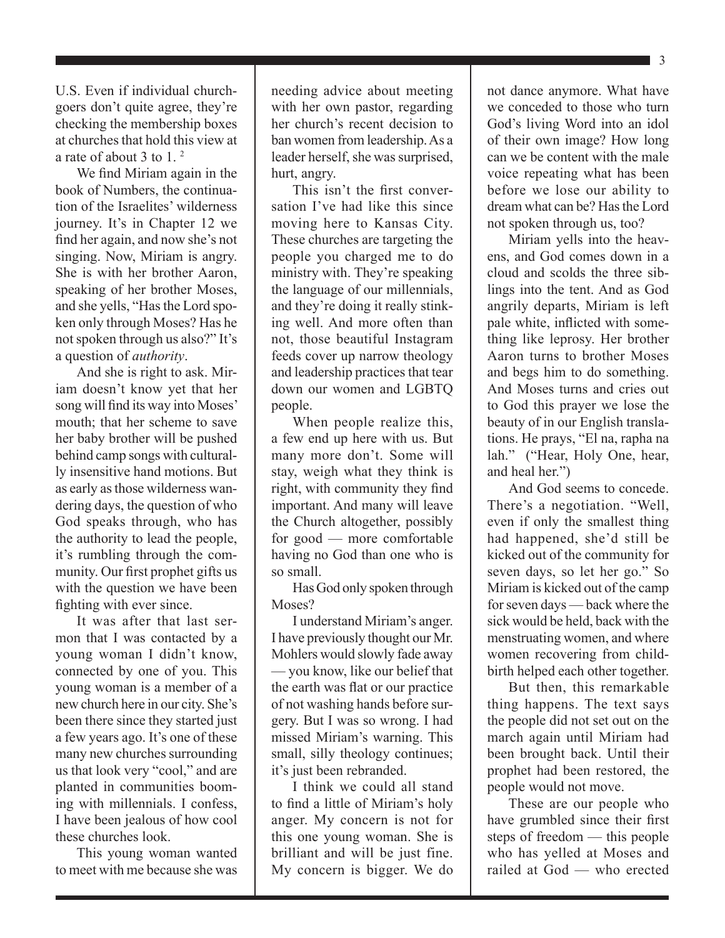$\blacksquare$  3

U.S. Even if individual churchgoers don't quite agree, they're checking the membership boxes at churches that hold this view at a rate of about 3 to 1. 2

We find Miriam again in the book of Numbers, the continuation of the Israelites' wilderness journey. It's in Chapter 12 we find her again, and now she's not singing. Now, Miriam is angry. She is with her brother Aaron, speaking of her brother Moses, and she yells, "Has the Lord spoken only through Moses? Has he not spoken through us also?" It's a question of *authority*.

And she is right to ask. Miriam doesn't know yet that her song will find its way into Moses' mouth; that her scheme to save her baby brother will be pushed behind camp songs with culturally insensitive hand motions. But as early as those wilderness wandering days, the question of who God speaks through, who has the authority to lead the people, it's rumbling through the community. Our first prophet gifts us with the question we have been fighting with ever since.

It was after that last sermon that I was contacted by a young woman I didn't know, connected by one of you. This young woman is a member of a new church here in our city. She's been there since they started just a few years ago. It's one of these many new churches surrounding us that look very "cool," and are planted in communities booming with millennials. I confess, I have been jealous of how cool these churches look.

This young woman wanted to meet with me because she was needing advice about meeting with her own pastor, regarding her church's recent decision to ban women from leadership. As a leader herself, she was surprised, hurt, angry.

This isn't the first conversation I've had like this since moving here to Kansas City. These churches are targeting the people you charged me to do ministry with. They're speaking the language of our millennials, and they're doing it really stinking well. And more often than not, those beautiful Instagram feeds cover up narrow theology and leadership practices that tear down our women and LGBTQ people.

When people realize this, a few end up here with us. But many more don't. Some will stay, weigh what they think is right, with community they find important. And many will leave the Church altogether, possibly for good — more comfortable having no God than one who is so small.

Has God only spoken through Moses?

I understand Miriam's anger. I have previously thought our Mr. Mohlers would slowly fade away — you know, like our belief that the earth was flat or our practice of not washing hands before surgery. But I was so wrong. I had missed Miriam's warning. This small, silly theology continues; it's just been rebranded.

I think we could all stand to find a little of Miriam's holy anger. My concern is not for this one young woman. She is brilliant and will be just fine. My concern is bigger. We do not dance anymore. What have we conceded to those who turn God's living Word into an idol of their own image? How long can we be content with the male voice repeating what has been before we lose our ability to dream what can be? Has the Lord not spoken through us, too?

Miriam yells into the heavens, and God comes down in a cloud and scolds the three siblings into the tent. And as God angrily departs, Miriam is left pale white, inflicted with something like leprosy. Her brother Aaron turns to brother Moses and begs him to do something. And Moses turns and cries out to God this prayer we lose the beauty of in our English translations. He prays, "El na, rapha na lah." ("Hear, Holy One, hear, and heal her.")

And God seems to concede. There's a negotiation. "Well, even if only the smallest thing had happened, she'd still be kicked out of the community for seven days, so let her go." So Miriam is kicked out of the camp for seven days — back where the sick would be held, back with the menstruating women, and where women recovering from childbirth helped each other together.

But then, this remarkable thing happens. The text says the people did not set out on the march again until Miriam had been brought back. Until their prophet had been restored, the people would not move.

These are our people who have grumbled since their first steps of freedom — this people who has yelled at Moses and railed at God — who erected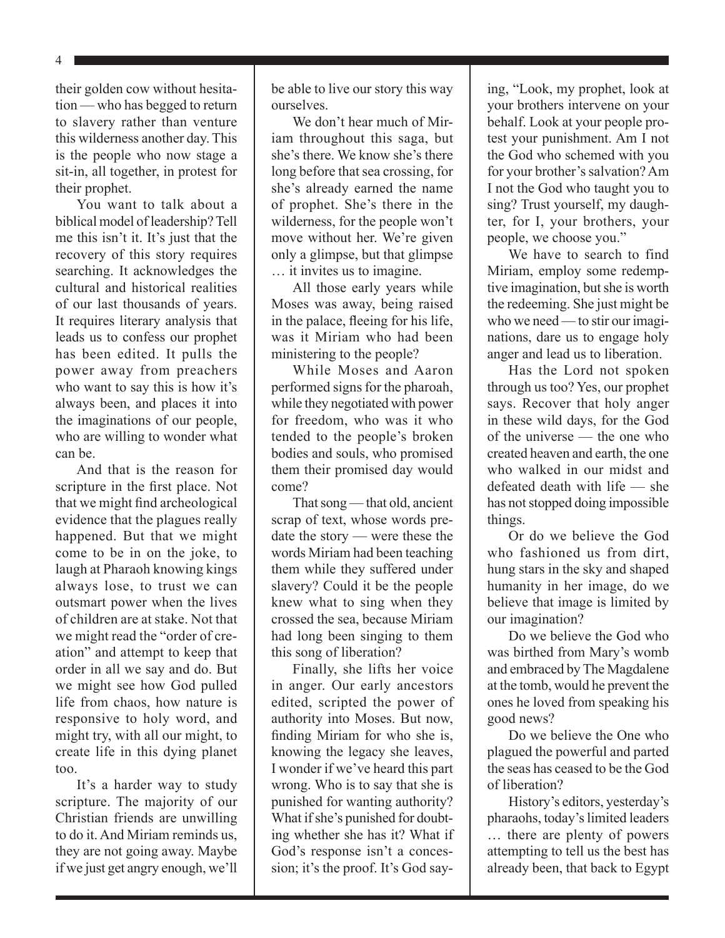4

their golden cow without hesitation — who has begged to return to slavery rather than venture this wilderness another day. This is the people who now stage a sit-in, all together, in protest for their prophet.

You want to talk about a biblical model of leadership? Tell me this isn't it. It's just that the recovery of this story requires searching. It acknowledges the cultural and historical realities of our last thousands of years. It requires literary analysis that leads us to confess our prophet has been edited. It pulls the power away from preachers who want to say this is how it's always been, and places it into the imaginations of our people, who are willing to wonder what can be.

And that is the reason for scripture in the first place. Not that we might find archeological evidence that the plagues really happened. But that we might come to be in on the joke, to laugh at Pharaoh knowing kings always lose, to trust we can outsmart power when the lives of children are at stake. Not that we might read the "order of creation" and attempt to keep that order in all we say and do. But we might see how God pulled life from chaos, how nature is responsive to holy word, and might try, with all our might, to create life in this dying planet too.

It's a harder way to study scripture. The majority of our Christian friends are unwilling to do it. And Miriam reminds us, they are not going away. Maybe if we just get angry enough, we'll be able to live our story this way ourselves.

We don't hear much of Miriam throughout this saga, but she's there. We know she's there long before that sea crossing, for she's already earned the name of prophet. She's there in the wilderness, for the people won't move without her. We're given only a glimpse, but that glimpse … it invites us to imagine.

All those early years while Moses was away, being raised in the palace, fleeing for his life, was it Miriam who had been ministering to the people?

While Moses and Aaron performed signs for the pharoah, while they negotiated with power for freedom, who was it who tended to the people's broken bodies and souls, who promised them their promised day would come?

That song — that old, ancient scrap of text, whose words predate the story — were these the words Miriam had been teaching them while they suffered under slavery? Could it be the people knew what to sing when they crossed the sea, because Miriam had long been singing to them this song of liberation?

Finally, she lifts her voice in anger. Our early ancestors edited, scripted the power of authority into Moses. But now, finding Miriam for who she is, knowing the legacy she leaves, I wonder if we've heard this part wrong. Who is to say that she is punished for wanting authority? What if she's punished for doubting whether she has it? What if God's response isn't a concession; it's the proof. It's God saying, "Look, my prophet, look at your brothers intervene on your behalf. Look at your people protest your punishment. Am I not the God who schemed with you for your brother's salvation? Am I not the God who taught you to sing? Trust yourself, my daughter, for I, your brothers, your people, we choose you."

We have to search to find Miriam, employ some redemptive imagination, but she is worth the redeeming. She just might be who we need — to stir our imaginations, dare us to engage holy anger and lead us to liberation.

Has the Lord not spoken through us too? Yes, our prophet says. Recover that holy anger in these wild days, for the God of the universe — the one who created heaven and earth, the one who walked in our midst and defeated death with life — she has not stopped doing impossible things.

Or do we believe the God who fashioned us from dirt, hung stars in the sky and shaped humanity in her image, do we believe that image is limited by our imagination?

Do we believe the God who was birthed from Mary's womb and embraced by The Magdalene at the tomb, would he prevent the ones he loved from speaking his good news?

Do we believe the One who plagued the powerful and parted the seas has ceased to be the God of liberation?

History's editors, yesterday's pharaohs, today's limited leaders … there are plenty of powers attempting to tell us the best has already been, that back to Egypt